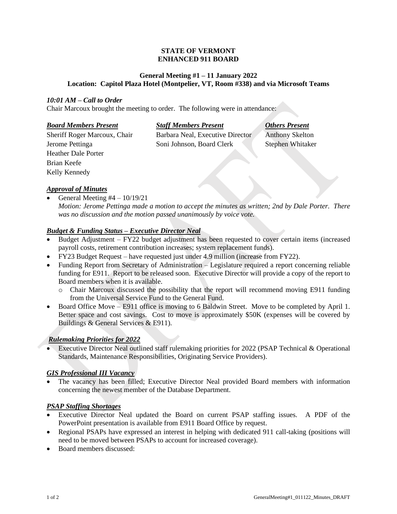### **STATE OF VERMONT ENHANCED 911 BOARD**

## **General Meeting #1 – 11 January 2022 Location: Capitol Plaza Hotel (Montpelier, VT, Room #338) and via Microsoft Teams**

## *10:01 AM – Call to Order*

Chair Marcoux brought the meeting to order. The following were in attendance:

| <b>Board Members Present</b> | <b>Staff M</b> |
|------------------------------|----------------|
| Sheriff Roger Marcoux, Chair | Barbara        |
| Jerome Pettinga              | Soni Jol       |
| Heather Dale Porter          |                |
| Brian Keefe                  |                |

# *Board Members Present Staff Members Present Others Present*

Neal, Executive Director Anthony Skelton hnson, Board Clerk Stephen Whitaker

# *Approval of Minutes*

Kelly Kennedy

General Meeting  $#4 - 10/19/21$ 

*Motion: Jerome Pettinga made a motion to accept the minutes as written; 2nd by Dale Porter. There was no discussion and the motion passed unanimously by voice vote.*

## *Budget & Funding Status – Executive Director Neal*

- Budget Adjustment FY22 budget adjustment has been requested to cover certain items (increased payroll costs, retirement contribution increases; system replacement funds).
- FY23 Budget Request have requested just under 4.9 million (increase from FY22).
- Funding Report from Secretary of Administration Legislature required a report concerning reliable funding for E911. Report to be released soon. Executive Director will provide a copy of the report to Board members when it is available.
	- o Chair Marcoux discussed the possibility that the report will recommend moving E911 funding from the Universal Service Fund to the General Fund.
- Board Office Move E911 office is moving to 6 Baldwin Street. Move to be completed by April 1. Better space and cost savings. Cost to move is approximately \$50K (expenses will be covered by Buildings & General Services & E911).

# *Rulemaking Priorities for 2022*

• Executive Director Neal outlined staff rulemaking priorities for 2022 (PSAP Technical & Operational Standards, Maintenance Responsibilities, Originating Service Providers).

## *GIS Professional III Vacancy*

• The vacancy has been filled; Executive Director Neal provided Board members with information concerning the newest member of the Database Department.

## *PSAP Staffing Shortages*

- Executive Director Neal updated the Board on current PSAP staffing issues. A PDF of the PowerPoint presentation is available from E911 Board Office by request.
- Regional PSAPs have expressed an interest in helping with dedicated 911 call-taking (positions will need to be moved between PSAPs to account for increased coverage).
- Board members discussed: